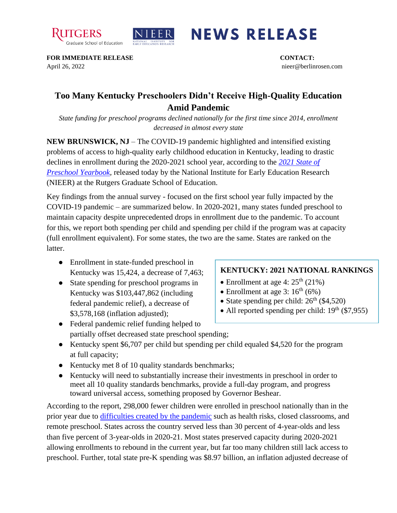



## **NEWS RELEASE**

**FOR IMMEDIATE RELEASE CONTACT:**  April 26, 2022 nieer@berlinrosen.com

## **Too Many Kentucky Preschoolers Didn't Receive High-Quality Education Amid Pandemic**

*State funding for preschool programs declined nationally for the first time since 2014, enrollment decreased in almost every state*

**NEW BRUNSWICK, NJ** – The COVID-19 pandemic highlighted and intensified existing problems of access to high-quality early childhood education in Kentucky, leading to drastic declines in enrollment during the 2020-2021 school year, according to the *[2021 State of](https://nieer.org/state-preschool-yearbooks-yearbook2021)  [Preschool Yearbook,](https://nieer.org/state-preschool-yearbooks-yearbook2021)* released today by the National Institute for Early Education Research (NIEER) at the Rutgers Graduate School of Education.

Key findings from the annual survey - focused on the first school year fully impacted by the COVID-19 pandemic – are summarized below. In 2020-2021, many states funded preschool to maintain capacity despite unprecedented drops in enrollment due to the pandemic. To account for this, we report both spending per child and spending per child if the program was at capacity (full enrollment equivalent). For some states, the two are the same. States are ranked on the latter.

- Enrollment in state-funded preschool in Kentucky was 15,424, a decrease of 7,463;
- State spending for preschool programs in Kentucky was \$103,447,862 (including federal pandemic relief), a decrease of \$3,578,168 (inflation adjusted);

## **KENTUCKY: 2021 NATIONAL RANKINGS**

- Enrollment at age 4:  $25<sup>th</sup>$  (21%)
- Enrollment at age 3:  $16<sup>th</sup> (6%)$
- State spending per child:  $26<sup>th</sup>$  (\$4,520)
- All reported spending per child:  $19<sup>th</sup>$  (\$7,955)
- Federal pandemic relief funding helped to partially offset decreased state preschool spending;
- Kentucky spent \$6,707 per child but spending per child equaled \$4,520 for the program at full capacity;
- Kentucky met 8 of 10 quality standards benchmarks;
- Kentucky will need to substantially increase their investments in preschool in order to meet all 10 quality standards benchmarks, provide a full-day program, and progress toward universal access, something proposed by Governor Beshear.

According to the report, 298,000 fewer children were enrolled in preschool nationally than in the prior year due to [difficulties created by the pandemic](https://nieer.org/wp-content/uploads/2021/02/NIEER_Seven_Impacts_of_the_Pandemic_on_Young_Children_and_their_Parents.pdf) such as health risks, closed classrooms, and remote preschool. States across the country served less than 30 percent of 4-year-olds and less than five percent of 3-year-olds in 2020-21. Most states preserved capacity during 2020-2021 allowing enrollments to rebound in the current year, but far too many children still lack access to preschool. Further, total state pre-K spending was \$8.97 billion, an inflation adjusted decrease of